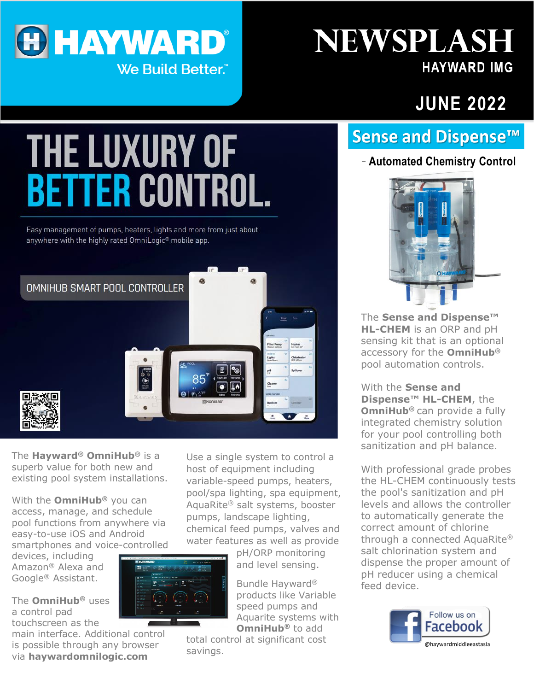

# **NEWSPLASH HAYWARD IMG**

# **JUNE 2022**

# **THE LUXURY OF BETTER CONTROL.**

Easy management of pumps, heaters, lights and more from just about anywhere with the highly rated OmniLogic® mobile app.



The **Hayward® OmniHub®** is a superb value for both new and existing pool system installations.

With the **OmniHub®** you can access, manage, and schedule pool functions from anywhere via easy-to-use iOS and Android smartphones and voice-controlled

devices, including Amazon® Alexa and Google® Assistant.

The **OmniHub®** uses a control pad touchscreen as the main interface. Additional control

is possible through any browser via **[haywardomnilogic.com](http://haywardomnilogic.com/)**

Use a single system to control a host of equipment including variable-speed pumps, heaters, pool/spa lighting, spa equipment, AquaRite® salt systems, booster pumps, landscape lighting, chemical feed pumps, valves and water features as well as provide

> pH/ORP monitoring and level sensing.

Bundle Hayward® products like Variable speed pumps and Aquarite systems with **OmniHub®** to add

total control at significant cost savings.

## **Sense and Dispense™**

#### - **Automated Chemistry Control**



The **Sense and Dispense™ HL-CHEM** is an ORP and pH sensing kit that is an optional accessory for the **OmniHub®** pool automation controls.

With the **Sense and Dispense™ HL-CHEM**, the **OmniHub®** can provide a fully integrated chemistry solution for your pool controlling both sanitization and pH balance.

With professional grade probes the HL-CHEM continuously tests the pool's sanitization and pH levels and allows the controller to automatically generate the correct amount of chlorine through a connected AquaRite® salt chlorination system and dispense the proper amount of pH reducer using a chemical feed device.